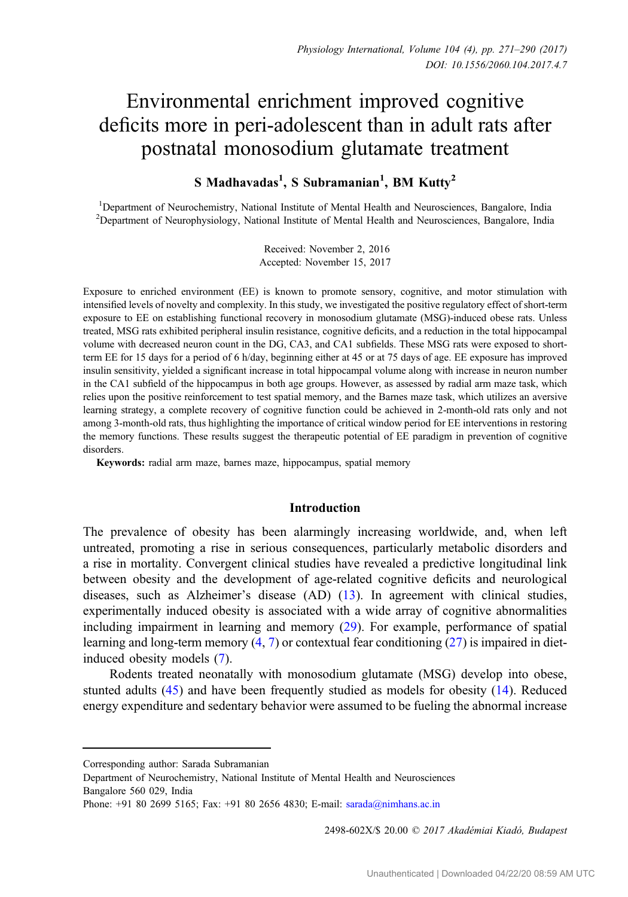# Environmental enrichment improved cognitive deficits more in peri-adolescent than in adult rats after postnatal monosodium glutamate treatment

## $S$  Madhavadas<sup>1</sup>, S Subramanian<sup>1</sup>, BM Kutty<sup>2</sup>

<sup>1</sup>Department of Neurochemistry, National Institute of Mental Health and Neurosciences, Bangalore, India <sup>2</sup>Department of Neurophysiology, National Institute of Mental Health and Neurosciences, Bangalore, India

> Received: November 2, 2016 Accepted: November 15, 2017

Exposure to enriched environment (EE) is known to promote sensory, cognitive, and motor stimulation with intensified levels of novelty and complexity. In this study, we investigated the positive regulatory effect of short-term exposure to EE on establishing functional recovery in monosodium glutamate (MSG)-induced obese rats. Unless treated, MSG rats exhibited peripheral insulin resistance, cognitive deficits, and a reduction in the total hippocampal volume with decreased neuron count in the DG, CA3, and CA1 subfields. These MSG rats were exposed to shortterm EE for 15 days for a period of 6 h/day, beginning either at 45 or at 75 days of age. EE exposure has improved insulin sensitivity, yielded a significant increase in total hippocampal volume along with increase in neuron number in the CA1 subfield of the hippocampus in both age groups. However, as assessed by radial arm maze task, which relies upon the positive reinforcement to test spatial memory, and the Barnes maze task, which utilizes an aversive learning strategy, a complete recovery of cognitive function could be achieved in 2-month-old rats only and not among 3-month-old rats, thus highlighting the importance of critical window period for EE interventions in restoring the memory functions. These results suggest the therapeutic potential of EE paradigm in prevention of cognitive disorders.

Keywords: radial arm maze, barnes maze, hippocampus, spatial memory

### Introduction

The prevalence of obesity has been alarmingly increasing worldwide, and, when left untreated, promoting a rise in serious consequences, particularly metabolic disorders and a rise in mortality. Convergent clinical studies have revealed a predictive longitudinal link between obesity and the development of age-related cognitive deficits and neurological diseases, such as Alzheimer's disease (AD) ([13\)](#page-17-0). In agreement with clinical studies, experimentally induced obesity is associated with a wide array of cognitive abnormalities including impairment in learning and memory ([29\)](#page-18-0). For example, performance of spatial learning and long-term memory ([4,](#page-17-0) [7](#page-17-0)) or contextual fear conditioning ([27\)](#page-18-0) is impaired in dietinduced obesity models ([7\)](#page-17-0).

Rodents treated neonatally with monosodium glutamate (MSG) develop into obese, stunted adults ([45\)](#page-18-0) and have been frequently studied as models for obesity ([14\)](#page-17-0). Reduced energy expenditure and sedentary behavior were assumed to be fueling the abnormal increase

2498-602X/\$ 20.00 © 2017 Akadémiai Kiadó, Budapest

Corresponding author: Sarada Subramanian

Department of Neurochemistry, National Institute of Mental Health and Neurosciences Bangalore 560 029, India

Phone: +91 80 2699 5165; Fax: +91 80 2656 4830; E-mail: [sarada@nimhans.ac.in](mailto:sarada@nimhans.ac.in)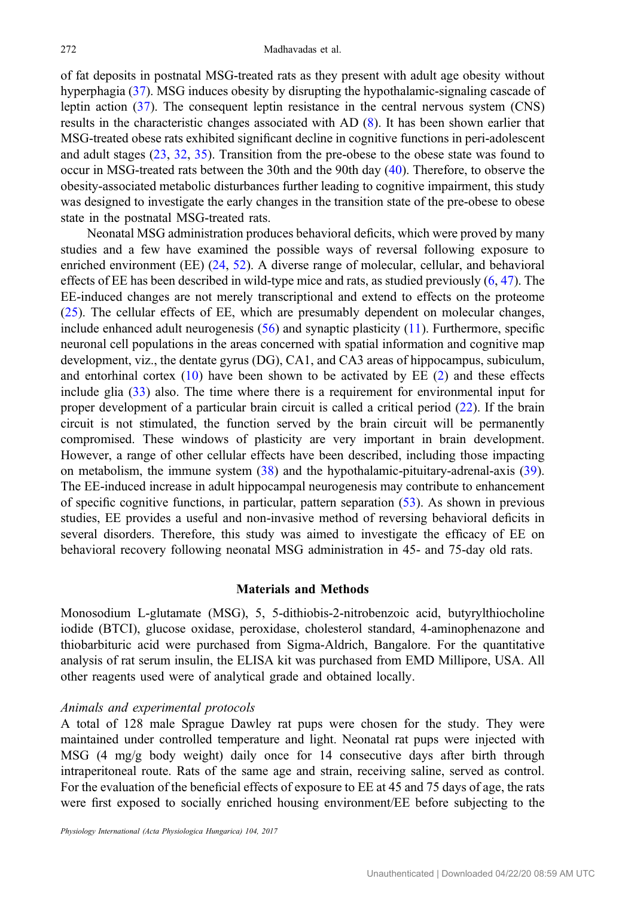of fat deposits in postnatal MSG-treated rats as they present with adult age obesity without hyperphagia ([37\)](#page-18-0). MSG induces obesity by disrupting the hypothalamic-signaling cascade of leptin action ([37](#page-18-0)). The consequent leptin resistance in the central nervous system (CNS) results in the characteristic changes associated with AD [\(8\)](#page-17-0). It has been shown earlier that MSG-treated obese rats exhibited significant decline in cognitive functions in peri-adolescent and adult stages ([23](#page-17-0), [32,](#page-18-0) [35](#page-18-0)). Transition from the pre-obese to the obese state was found to occur in MSG-treated rats between the 30th and the 90th day ([40\)](#page-18-0). Therefore, to observe the obesity-associated metabolic disturbances further leading to cognitive impairment, this study was designed to investigate the early changes in the transition state of the pre-obese to obese state in the postnatal MSG-treated rats.

Neonatal MSG administration produces behavioral deficits, which were proved by many studies and a few have examined the possible ways of reversal following exposure to enriched environment (EE) [\(24](#page-17-0), [52\)](#page-19-0). A diverse range of molecular, cellular, and behavioral effects of EE has been described in wild-type mice and rats, as studied previously  $(6, 47)$  $(6, 47)$  $(6, 47)$ . The EE-induced changes are not merely transcriptional and extend to effects on the proteome [\(25](#page-17-0)). The cellular effects of EE, which are presumably dependent on molecular changes, include enhanced adult neurogenesis  $(56)$  $(56)$  and synaptic plasticity  $(11)$  $(11)$ . Furthermore, specific neuronal cell populations in the areas concerned with spatial information and cognitive map development, viz., the dentate gyrus (DG), CA1, and CA3 areas of hippocampus, subiculum, and entorhinal cortex  $(10)$  $(10)$  have been shown to be activated by EE  $(2)$  $(2)$  and these effects include glia ([33\)](#page-18-0) also. The time where there is a requirement for environmental input for proper development of a particular brain circuit is called a critical period ([22\)](#page-17-0). If the brain circuit is not stimulated, the function served by the brain circuit will be permanently compromised. These windows of plasticity are very important in brain development. However, a range of other cellular effects have been described, including those impacting on metabolism, the immune system ([38\)](#page-18-0) and the hypothalamic-pituitary-adrenal-axis [\(39](#page-18-0)). The EE-induced increase in adult hippocampal neurogenesis may contribute to enhancement of specific cognitive functions, in particular, pattern separation ([53](#page-19-0)). As shown in previous studies, EE provides a useful and non-invasive method of reversing behavioral deficits in several disorders. Therefore, this study was aimed to investigate the efficacy of EE on behavioral recovery following neonatal MSG administration in 45- and 75-day old rats.

## Materials and Methods

Monosodium L-glutamate (MSG), 5, 5-dithiobis-2-nitrobenzoic acid, butyrylthiocholine iodide (BTCI), glucose oxidase, peroxidase, cholesterol standard, 4-aminophenazone and thiobarbituric acid were purchased from Sigma-Aldrich, Bangalore. For the quantitative analysis of rat serum insulin, the ELISA kit was purchased from EMD Millipore, USA. All other reagents used were of analytical grade and obtained locally.

#### Animals and experimental protocols

A total of 128 male Sprague Dawley rat pups were chosen for the study. They were maintained under controlled temperature and light. Neonatal rat pups were injected with MSG (4 mg/g body weight) daily once for 14 consecutive days after birth through intraperitoneal route. Rats of the same age and strain, receiving saline, served as control. For the evaluation of the beneficial effects of exposure to EE at 45 and 75 days of age, the rats were first exposed to socially enriched housing environment/EE before subjecting to the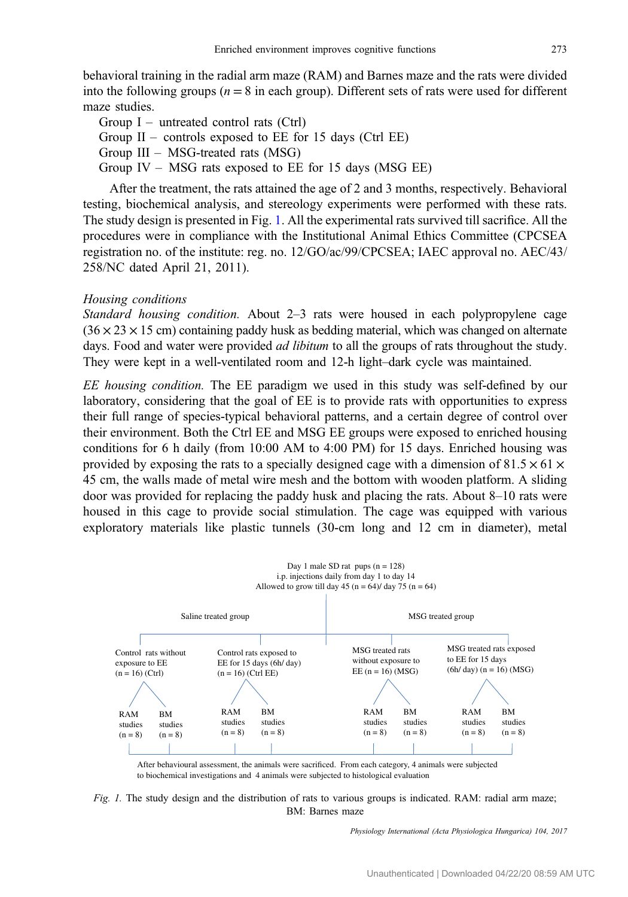behavioral training in the radial arm maze (RAM) and Barnes maze and the rats were divided into the following groups ( $n = 8$  in each group). Different sets of rats were used for different maze studies.

Group  $I$  – untreated control rats (Ctrl) Group  $II$  – controls exposed to EE for 15 days (Ctrl EE) Group III – MSG-treated rats (MSG) Group IV – MSG rats exposed to EE for 15 days (MSG EE)

After the treatment, the rats attained the age of 2 and 3 months, respectively. Behavioral testing, biochemical analysis, and stereology experiments were performed with these rats. The study design is presented in Fig. 1. All the experimental rats survived till sacrifice. All the procedures were in compliance with the Institutional Animal Ethics Committee (CPCSEA registration no. of the institute: reg. no. 12/GO/ac/99/CPCSEA; IAEC approval no. AEC/43/ 258/NC dated April 21, 2011).

### Housing conditions

Standard housing condition. About 2–3 rats were housed in each polypropylene cage  $(36 \times 23 \times 15$  cm) containing paddy husk as bedding material, which was changed on alternate days. Food and water were provided *ad libitum* to all the groups of rats throughout the study. They were kept in a well-ventilated room and 12-h light–dark cycle was maintained.

EE housing condition. The EE paradigm we used in this study was self-defined by our laboratory, considering that the goal of EE is to provide rats with opportunities to express their full range of species-typical behavioral patterns, and a certain degree of control over their environment. Both the Ctrl EE and MSG EE groups were exposed to enriched housing conditions for 6 h daily (from 10:00 AM to 4:00 PM) for 15 days. Enriched housing was provided by exposing the rats to a specially designed cage with a dimension of 81.5  $\times$  61  $\times$ 45 cm, the walls made of metal wire mesh and the bottom with wooden platform. A sliding door was provided for replacing the paddy husk and placing the rats. About 8–10 rats were housed in this cage to provide social stimulation. The cage was equipped with various exploratory materials like plastic tunnels (30-cm long and 12 cm in diameter), metal



After behavioural assessment, the animals were sacrificed. From each category, 4 animals were subjected to biochemical investigations and 4 animals were subjected to histological evaluation

Fig. 1. The study design and the distribution of rats to various groups is indicated. RAM: radial arm maze; BM: Barnes maze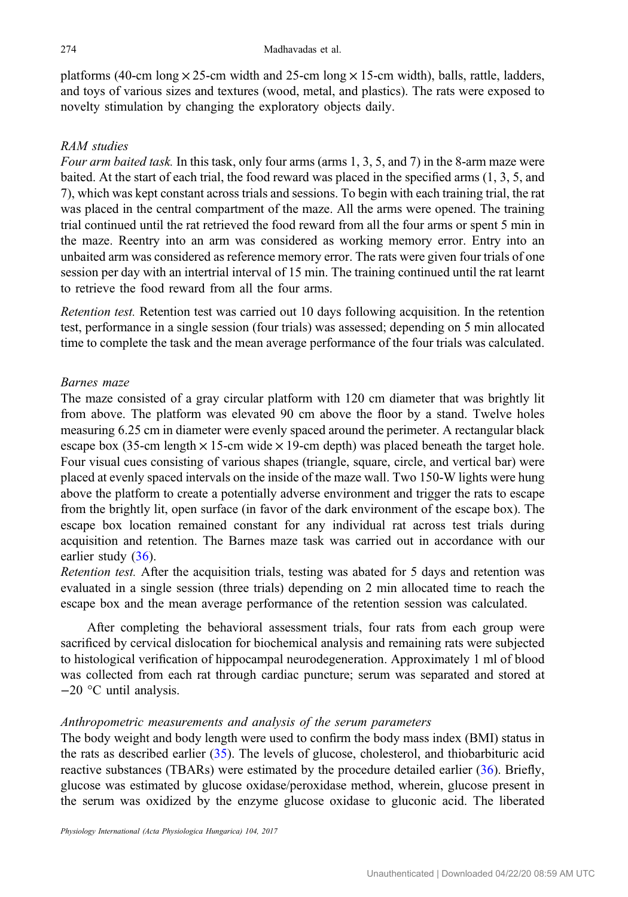platforms (40-cm long  $\times$  25-cm width and 25-cm long  $\times$  15-cm width), balls, rattle, ladders, and toys of various sizes and textures (wood, metal, and plastics). The rats were exposed to novelty stimulation by changing the exploratory objects daily.

## RAM studies

Four arm baited task. In this task, only four arms (arms  $1, 3, 5$ , and  $7$ ) in the 8-arm maze were baited. At the start of each trial, the food reward was placed in the specified arms (1, 3, 5, and 7), which was kept constant across trials and sessions. To begin with each training trial, the rat was placed in the central compartment of the maze. All the arms were opened. The training trial continued until the rat retrieved the food reward from all the four arms or spent 5 min in the maze. Reentry into an arm was considered as working memory error. Entry into an unbaited arm was considered as reference memory error. The rats were given four trials of one session per day with an intertrial interval of 15 min. The training continued until the rat learnt to retrieve the food reward from all the four arms.

Retention test. Retention test was carried out 10 days following acquisition. In the retention test, performance in a single session (four trials) was assessed; depending on 5 min allocated time to complete the task and the mean average performance of the four trials was calculated.

## Barnes maze

The maze consisted of a gray circular platform with 120 cm diameter that was brightly lit from above. The platform was elevated 90 cm above the floor by a stand. Twelve holes measuring 6.25 cm in diameter were evenly spaced around the perimeter. A rectangular black escape box (35-cm length  $\times$  15-cm wide  $\times$  19-cm depth) was placed beneath the target hole. Four visual cues consisting of various shapes (triangle, square, circle, and vertical bar) were placed at evenly spaced intervals on the inside of the maze wall. Two 150-W lights were hung above the platform to create a potentially adverse environment and trigger the rats to escape from the brightly lit, open surface (in favor of the dark environment of the escape box). The escape box location remained constant for any individual rat across test trials during acquisition and retention. The Barnes maze task was carried out in accordance with our earlier study ([36\)](#page-18-0).

Retention test. After the acquisition trials, testing was abated for 5 days and retention was evaluated in a single session (three trials) depending on 2 min allocated time to reach the escape box and the mean average performance of the retention session was calculated.

After completing the behavioral assessment trials, four rats from each group were sacrificed by cervical dislocation for biochemical analysis and remaining rats were subjected to histological verification of hippocampal neurodegeneration. Approximately 1 ml of blood was collected from each rat through cardiac puncture; serum was separated and stored at −20 °C until analysis.

## Anthropometric measurements and analysis of the serum parameters

The body weight and body length were used to confirm the body mass index (BMI) status in the rats as described earlier [\(35](#page-18-0)). The levels of glucose, cholesterol, and thiobarbituric acid reactive substances (TBARs) were estimated by the procedure detailed earlier [\(36](#page-18-0)). Briefly, glucose was estimated by glucose oxidase/peroxidase method, wherein, glucose present in the serum was oxidized by the enzyme glucose oxidase to gluconic acid. The liberated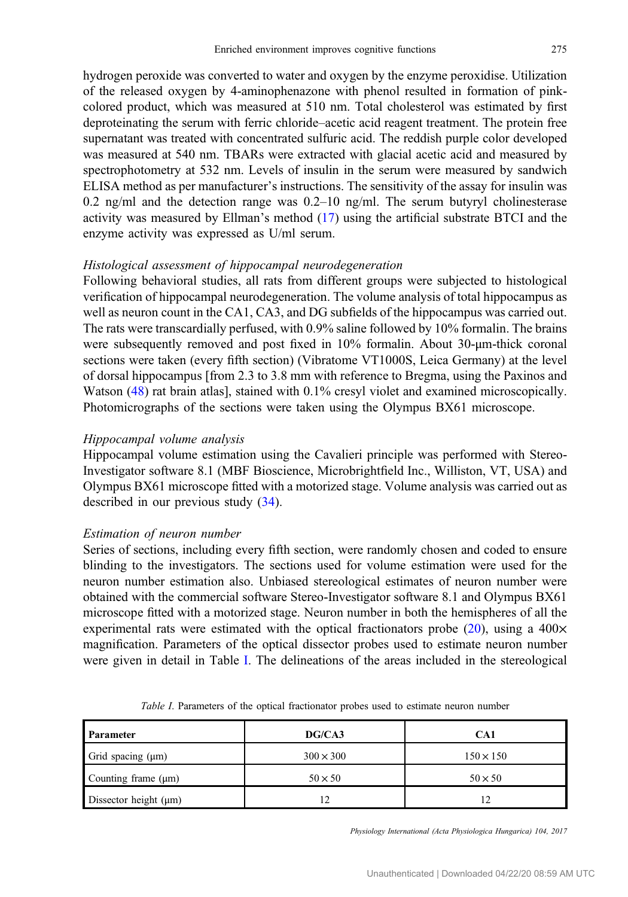hydrogen peroxide was converted to water and oxygen by the enzyme peroxidise. Utilization of the released oxygen by 4-aminophenazone with phenol resulted in formation of pinkcolored product, which was measured at 510 nm. Total cholesterol was estimated by first deproteinating the serum with ferric chloride–acetic acid reagent treatment. The protein free supernatant was treated with concentrated sulfuric acid. The reddish purple color developed was measured at 540 nm. TBARs were extracted with glacial acetic acid and measured by spectrophotometry at 532 nm. Levels of insulin in the serum were measured by sandwich ELISA method as per manufacturer's instructions. The sensitivity of the assay for insulin was 0.2 ng/ml and the detection range was 0.2–10 ng/ml. The serum butyryl cholinesterase activity was measured by Ellman's method ([17\)](#page-17-0) using the artificial substrate BTCI and the enzyme activity was expressed as U/ml serum.

#### Histological assessment of hippocampal neurodegeneration

Following behavioral studies, all rats from different groups were subjected to histological verification of hippocampal neurodegeneration. The volume analysis of total hippocampus as well as neuron count in the CA1, CA3, and DG subfields of the hippocampus was carried out. The rats were transcardially perfused, with 0.9% saline followed by 10% formalin. The brains were subsequently removed and post fixed in 10% formalin. About 30-μm-thick coronal sections were taken (every fifth section) (Vibratome VT1000S, Leica Germany) at the level of dorsal hippocampus [from 2.3 to 3.8 mm with reference to Bregma, using the Paxinos and Watson [\(48](#page-18-0)) rat brain atlas], stained with 0.1% cresyl violet and examined microscopically. Photomicrographs of the sections were taken using the Olympus BX61 microscope.

#### Hippocampal volume analysis

Hippocampal volume estimation using the Cavalieri principle was performed with Stereo-Investigator software 8.1 (MBF Bioscience, Microbrightfield Inc., Williston, VT, USA) and Olympus BX61 microscope fitted with a motorized stage. Volume analysis was carried out as described in our previous study [\(34](#page-18-0)).

## Estimation of neuron number

Series of sections, including every fifth section, were randomly chosen and coded to ensure blinding to the investigators. The sections used for volume estimation were used for the neuron number estimation also. Unbiased stereological estimates of neuron number were obtained with the commercial software Stereo-Investigator software 8.1 and Olympus BX61 microscope fitted with a motorized stage. Neuron number in both the hemispheres of all the experimental rats were estimated with the optical fractionators probe  $(20)$  $(20)$ , using a 400 $\times$ magnification. Parameters of the optical dissector probes used to estimate neuron number were given in detail in Table I. The delineations of the areas included in the stereological

| Parameter                  | DG/CA3           | CA1              |
|----------------------------|------------------|------------------|
| Grid spacing $(\mu m)$     | $300 \times 300$ | $150 \times 150$ |
| Counting frame $(\mu m)$   | $50 \times 50$   | $50 \times 50$   |
| Dissector height $(\mu m)$ | 12               | 12               |

Table I. Parameters of the optical fractionator probes used to estimate neuron number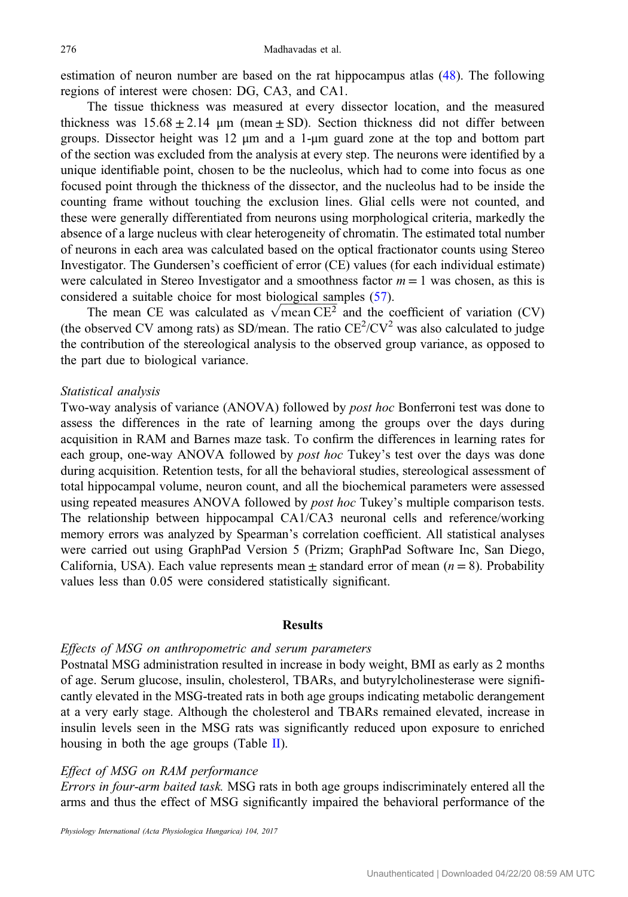estimation of neuron number are based on the rat hippocampus atlas ([48\)](#page-18-0). The following regions of interest were chosen: DG, CA3, and CA1.

The tissue thickness was measured at every dissector location, and the measured thickness was  $15.68 \pm 2.14$  μm (mean  $\pm$  SD). Section thickness did not differ between groups. Dissector height was 12 μm and a 1-μm guard zone at the top and bottom part of the section was excluded from the analysis at every step. The neurons were identified by a unique identifiable point, chosen to be the nucleolus, which had to come into focus as one focused point through the thickness of the dissector, and the nucleolus had to be inside the counting frame without touching the exclusion lines. Glial cells were not counted, and these were generally differentiated from neurons using morphological criteria, markedly the absence of a large nucleus with clear heterogeneity of chromatin. The estimated total number of neurons in each area was calculated based on the optical fractionator counts using Stereo Investigator. The Gundersen's coefficient of error (CE) values (for each individual estimate) were calculated in Stereo Investigator and a smoothness factor  $m = 1$  was chosen, as this is considered a suitable choice for most biological samples [\(57](#page-19-0)).

idered a suitable choice for most biological samples (57).<br>The mean CE was calculated as  $\sqrt{\text{mean CE}^2}$  and the coefficient of variation (CV) (the observed CV among rats) as SD/mean. The ratio  $CE^2/CV^2$  was also calculated to judge the contribution of the stereological analysis to the observed group variance, as opposed to the part due to biological variance.

## Statistical analysis

Two-way analysis of variance (ANOVA) followed by post hoc Bonferroni test was done to assess the differences in the rate of learning among the groups over the days during acquisition in RAM and Barnes maze task. To confirm the differences in learning rates for each group, one-way ANOVA followed by *post hoc* Tukey's test over the days was done during acquisition. Retention tests, for all the behavioral studies, stereological assessment of total hippocampal volume, neuron count, and all the biochemical parameters were assessed using repeated measures ANOVA followed by *post hoc* Tukey's multiple comparison tests. The relationship between hippocampal CA1/CA3 neuronal cells and reference/working memory errors was analyzed by Spearman's correlation coefficient. All statistical analyses were carried out using GraphPad Version 5 (Prizm; GraphPad Software Inc, San Diego, California, USA). Each value represents mean  $\pm$  standard error of mean ( $n = 8$ ). Probability values less than 0.05 were considered statistically significant.

#### Results

#### Effects of MSG on anthropometric and serum parameters

Postnatal MSG administration resulted in increase in body weight, BMI as early as 2 months of age. Serum glucose, insulin, cholesterol, TBARs, and butyrylcholinesterase were significantly elevated in the MSG-treated rats in both age groups indicating metabolic derangement at a very early stage. Although the cholesterol and TBARs remained elevated, increase in insulin levels seen in the MSG rats was significantly reduced upon exposure to enriched housing in both the age groups (Table [II\)](#page-6-0).

## Effect of MSG on RAM performance

Errors in four-arm baited task. MSG rats in both age groups indiscriminately entered all the arms and thus the effect of MSG significantly impaired the behavioral performance of the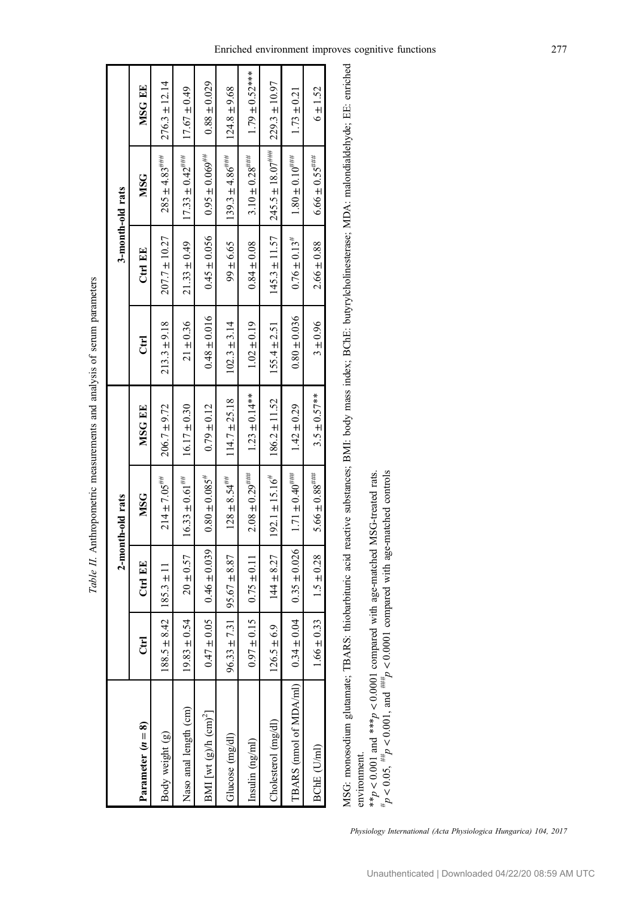| $\frac{1}{2}$<br>ı<br>j                                              |
|----------------------------------------------------------------------|
| ı<br>$\ddot{\phantom{0}}$                                            |
|                                                                      |
| <b>Contract</b><br>١<br>$\ddot{\phantom{a}}$<br>i                    |
| .<br>جوړه ج<br>i                                                     |
| <b>CONTRACTOR</b><br>i                                               |
| ¢<br>i<br>ı<br>֖֖֖֖֖֖֖֧֧֪֪ׅ֚֚֚֚֚֚֚֚֚֚֚֚֚֚֚֚֚֚֚֚֚֚֚֚֚֚֚֚֚֚֬֝֓֝֓֞<br>l |
| ļ                                                                    |
| ١                                                                    |

<span id="page-6-0"></span>

|                             |                       |                  | 2-month-old rats               |                    |                  |                              | 3-month-old rats      |                    |
|-----------------------------|-----------------------|------------------|--------------------------------|--------------------|------------------|------------------------------|-----------------------|--------------------|
| Parameter $(n = 8)$         | E                     | Ctrl EE          | <b>MSG</b>                     | MSG EE             | Erl              | Ctrl EE                      | <b>MSG</b>            | MSG EE             |
| Body weight (g)             | $5 + 8.42$<br>188.5   | $185.3 \pm 11$   | $214 \pm 7.05$ ***             | $206.7 \pm 9.72$   | $213.3 \pm 9.18$ | $207.7 \pm 10.27$            | $285 \pm 4.83$ ****   | $276.3 \pm 12.14$  |
| Naso anal length (cm)       | $4 \pm 0.54$<br>19.83 | $20 \pm 0.57$    | $16.33 \pm 0.61$ <sup>##</sup> | $16.17 \pm 0.30$   | $21 \pm 0.36$    | $21.33 \pm 0.49$             | $17.33 \pm 0.42$      | $17.67 \pm 0.49$   |
| BMI [wt $(g)$ /h $(cm)^2$ ] | $\pm 0.05$<br>0.47    | $0.46 \pm 0.039$ | $0.80 \pm 0.085$ <sup>#</sup>  | $0.79 \pm 0.12$    | $0.48 \pm 0.016$ | $0.45 \pm 0.056$             | $0.95 \pm 0.069$      | $0.88 \pm 0.029$   |
| Glucose (mg/dl              | $31 + 7.31$<br>96.33  | $95.67 \pm 8.87$ | $128 \pm 8.54$ <sup>***</sup>  | $114.7 \pm 25.18$  | $102.3 \pm 3.14$ | $99 + 6.65$                  | $139.3 \pm 4.86$ **** | $124.8 \pm 9.68$   |
| Insulin $(ng/ml)$           | $\pm 0.15$  <br>0.97  | $0.75 \pm 0.11$  | $2.08 \pm 0.29$ ****           | $1.23 \pm 0.14***$ | $1.02 \pm 0.19$  | $0.84 \pm 0.08$              | $3.10 \pm 0.28$ ****  | $1.79 \pm 0.52***$ |
| Cholesterol (mg/dl)         | $\pm 6.9$<br>126.5    | $144 \pm 8.27$   | $192.1 \pm 15.16^{\dagger}$    | $186.2 \pm 11.52$  | $155.4 \pm 2.51$ | $145.3 \pm 11.57$            | $1245.5 \pm 18.07***$ | $229.3 \pm 10.97$  |
| TBARS (nmol of MDA/ml)      | ± 0.04<br>0.34        | $0.35 \pm 0.026$ | $1.71 \pm 0.40$                | $1.42 \pm 0.29$    | $0.80 \pm 0.036$ | $0.76 \pm 0.13$ <sup>#</sup> | $1.80 \pm 0.10^{***}$ | $1.73 \pm 0.21$    |
| BChE (U/ml)                 | $1.66 \pm 0.33$       | $1.5 \pm 0.28$   | $5.66 \pm 0.88$ ****           | $3.5 \pm 0.57***$  | $3 + 0.96$       | $2.66 \pm 0.88$              | $6.66 \pm 0.55$ ****  | $6 + 1.52$         |
|                             |                       |                  |                                |                    |                  |                              |                       |                    |

MSG: monosodium glutamate; TBARS: thiobarbituric acid reactive substances; BMI: body mass index; BChE: butyrylcholinesterase; MDA: malondialdehyde; EE: enriched MSG: monosodium glutamate; TBARS: thiobarbituric acid reactive substances; BMI: body mass index; BChE: butyrylcholinesterase; MDA: malondialdehyde; EE: enriched environment. environment.

 $\leqslant_{\ast}^{\ast}$  $0.001$  and \*\*\**p* v 0.0001 compared with age-matched MSG-treated rats.  $p^* p < 0.05$ ,  $\#_p <$  $0.001$ , and  $^{***}_{p}$ v 0.0001 compared with age-matched controls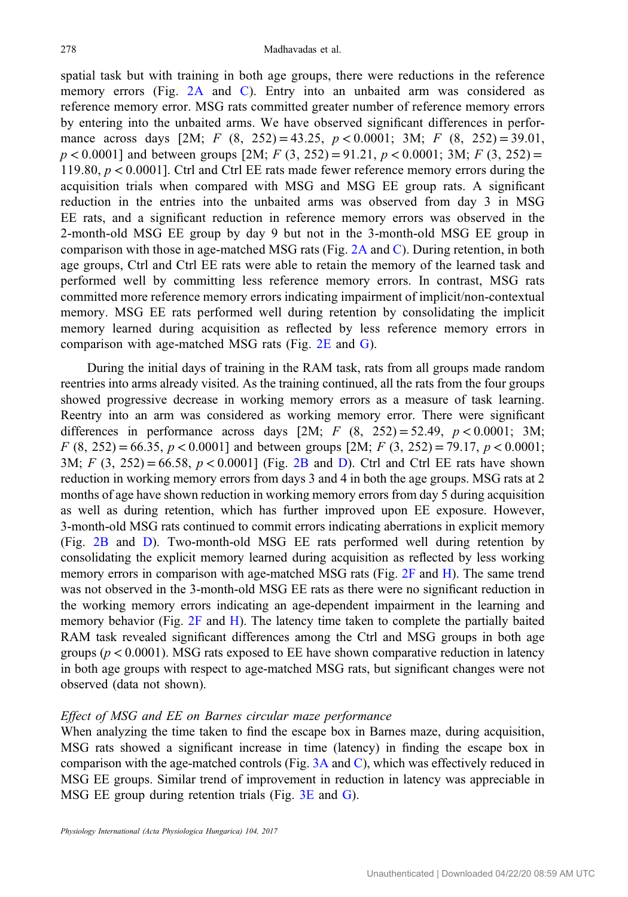spatial task but with training in both age groups, there were reductions in the reference memory errors (Fig. [2A](#page-8-0) and [C\)](#page-8-0). Entry into an unbaited arm was considered as reference memory error. MSG rats committed greater number of reference memory errors by entering into the unbaited arms. We have observed significant differences in performance across days  $[2M; F(8, 252) = 43.25, p < 0.0001; 3M; F(8, 252) = 39.01$ ,  $p < 0.0001$ ] and between groups [2M; F (3, 252) = 91.21,  $p < 0.0001$ ; 3M; F (3, 252) = 119.80, p < 0.0001]. Ctrl and Ctrl EE rats made fewer reference memory errors during the acquisition trials when compared with MSG and MSG EE group rats. A significant reduction in the entries into the unbaited arms was observed from day 3 in MSG EE rats, and a significant reduction in reference memory errors was observed in the 2-month-old MSG EE group by day 9 but not in the 3-month-old MSG EE group in comparison with those in age-matched MSG rats (Fig. [2A](#page-8-0) and [C\)](#page-8-0). During retention, in both age groups, Ctrl and Ctrl EE rats were able to retain the memory of the learned task and performed well by committing less reference memory errors. In contrast, MSG rats committed more reference memory errors indicating impairment of implicit/non-contextual memory. MSG EE rats performed well during retention by consolidating the implicit memory learned during acquisition as reflected by less reference memory errors in comparison with age-matched MSG rats (Fig. [2E](#page-8-0) and [G](#page-8-0)).

During the initial days of training in the RAM task, rats from all groups made random reentries into arms already visited. As the training continued, all the rats from the four groups showed progressive decrease in working memory errors as a measure of task learning. Reentry into an arm was considered as working memory error. There were significant differences in performance across days [2M; F  $(8, 252) = 52.49, p < 0.0001$ ; 3M;  $F(8, 252) = 66.35, p < 0.0001$  and between groups [2M;  $F(3, 252) = 79.17, p < 0.0001$ ; 3M;  $F$  (3, 252) = 66.58,  $p < 0.0001$ ] (Fig. [2B](#page-8-0) and [D\)](#page-8-0). Ctrl and Ctrl EE rats have shown reduction in working memory errors from days 3 and 4 in both the age groups. MSG rats at 2 months of age have shown reduction in working memory errors from day 5 during acquisition as well as during retention, which has further improved upon EE exposure. However, 3-month-old MSG rats continued to commit errors indicating aberrations in explicit memory (Fig. [2B](#page-8-0) and [D](#page-8-0)). Two-month-old MSG EE rats performed well during retention by consolidating the explicit memory learned during acquisition as reflected by less working memory errors in comparison with age-matched MSG rats (Fig. [2F](#page-8-0) and [H\)](#page-8-0). The same trend was not observed in the 3-month-old MSG EE rats as there were no significant reduction in the working memory errors indicating an age-dependent impairment in the learning and memory behavior (Fig.  $2F$  and [H](#page-8-0)). The latency time taken to complete the partially baited RAM task revealed significant differences among the Ctrl and MSG groups in both age groups ( $p < 0.0001$ ). MSG rats exposed to EE have shown comparative reduction in latency in both age groups with respect to age-matched MSG rats, but significant changes were not observed (data not shown).

## Effect of MSG and EE on Barnes circular maze performance

When analyzing the time taken to find the escape box in Barnes maze, during acquisition, MSG rats showed a significant increase in time (latency) in finding the escape box in comparison with the age-matched controls (Fig. [3A](#page-9-0) and [C\)](#page-9-0), which was effectively reduced in MSG EE groups. Similar trend of improvement in reduction in latency was appreciable in MSG EE group during retention trials (Fig. [3E](#page-9-0) and [G\)](#page-9-0).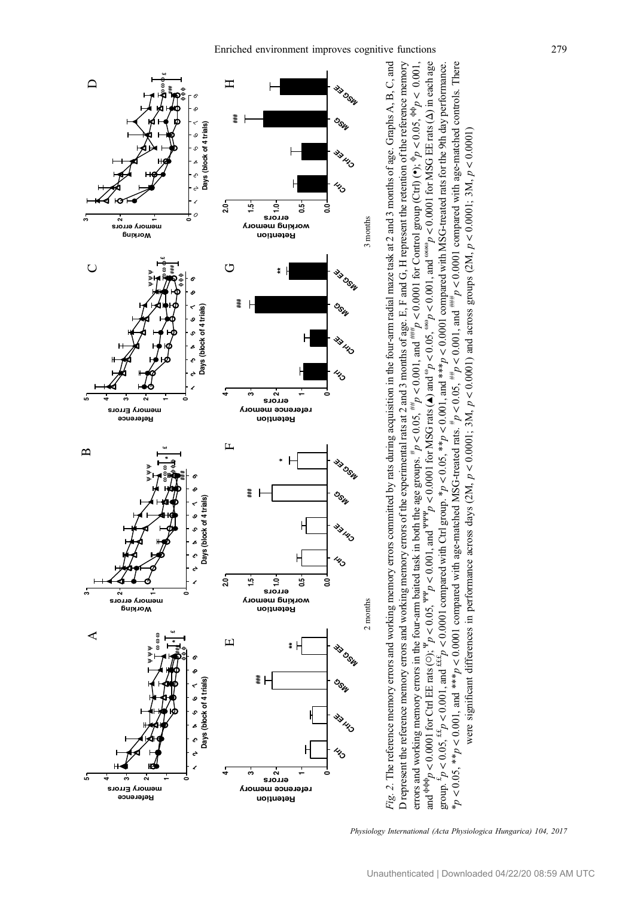<span id="page-8-0"></span>

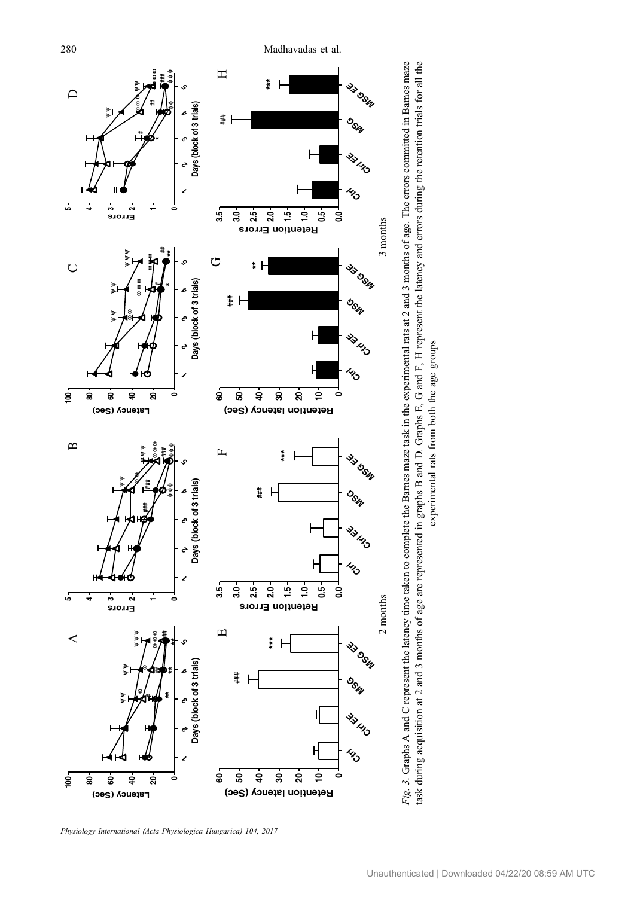<span id="page-9-0"></span>

Physiology International (Acta Physiologica Hungarica) 104, 2017

experimental rats from both the age groups

experimental rats from both the age groups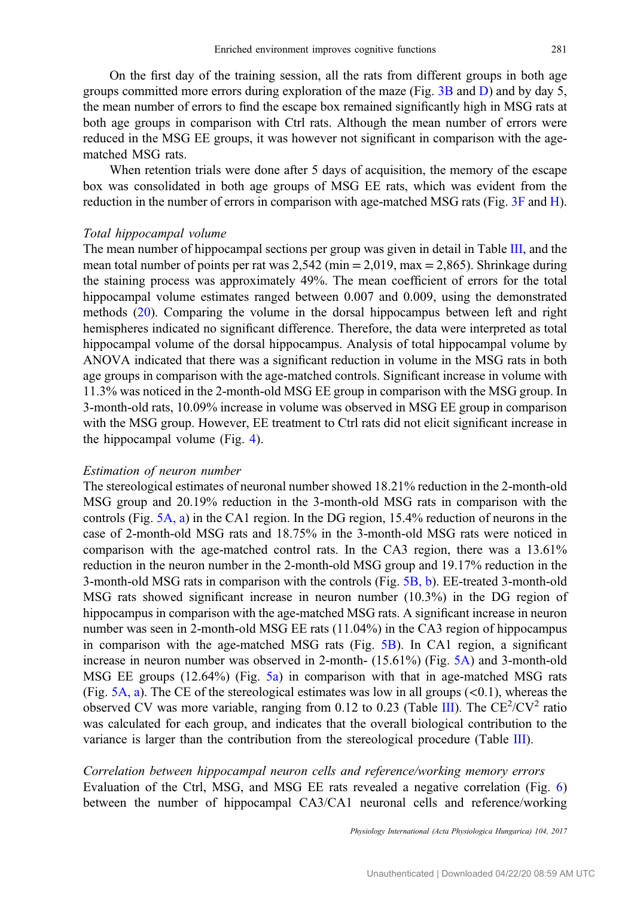On the first day of the training session, all the rats from different groups in both age groups committed more errors during exploration of the maze (Fig. [3B](#page-9-0) and [D](#page-8-0)) and by day 5, the mean number of errors to find the escape box remained significantly high in MSG rats at both age groups in comparison with Ctrl rats. Although the mean number of errors were reduced in the MSG EE groups, it was however not significant in comparison with the agematched MSG rats.

When retention trials were done after 5 days of acquisition, the memory of the escape box was consolidated in both age groups of MSG EE rats, which was evident from the reduction in the number of errors in comparison with age-matched MSG rats (Fig. [3F](#page-9-0) and [H](#page-9-0)).

#### Total hippocampal volume

The mean number of hippocampal sections per group was given in detail in Table [III](#page-11-0), and the mean total number of points per rat was  $2,542$  (min  $= 2,019$ , max  $= 2,865$ ). Shrinkage during the staining process was approximately 49%. The mean coefficient of errors for the total hippocampal volume estimates ranged between 0.007 and 0.009, using the demonstrated methods [\(20](#page-17-0)). Comparing the volume in the dorsal hippocampus between left and right hemispheres indicated no significant difference. Therefore, the data were interpreted as total hippocampal volume of the dorsal hippocampus. Analysis of total hippocampal volume by ANOVA indicated that there was a significant reduction in volume in the MSG rats in both age groups in comparison with the age-matched controls. Significant increase in volume with 11.3% was noticed in the 2-month-old MSG EE group in comparison with the MSG group. In 3-month-old rats, 10.09% increase in volume was observed in MSG EE group in comparison with the MSG group. However, EE treatment to Ctrl rats did not elicit significant increase in the hippocampal volume (Fig. [4](#page-12-0)).

#### Estimation of neuron number

The stereological estimates of neuronal number showed 18.21% reduction in the 2-month-old MSG group and 20.19% reduction in the 3-month-old MSG rats in comparison with the controls (Fig. [5A, a](#page-13-0)) in the CA1 region. In the DG region, 15.4% reduction of neurons in the case of 2-month-old MSG rats and 18.75% in the 3-month-old MSG rats were noticed in comparison with the age-matched control rats. In the CA3 region, there was a 13.61% reduction in the neuron number in the 2-month-old MSG group and 19.17% reduction in the 3-month-old MSG rats in comparison with the controls (Fig. [5B, b](#page-13-0)). EE-treated 3-month-old MSG rats showed significant increase in neuron number (10.3%) in the DG region of hippocampus in comparison with the age-matched MSG rats. A significant increase in neuron number was seen in 2-month-old MSG EE rats (11.04%) in the CA3 region of hippocampus in comparison with the age-matched MSG rats (Fig. [5B\)](#page-13-0). In CA1 region, a significant increase in neuron number was observed in 2-month- (15.61%) (Fig. [5A\)](#page-13-0) and 3-month-old MSG EE groups (12.64%) (Fig. [5a](#page-13-0)) in comparison with that in age-matched MSG rats (Fig. [5A, a](#page-13-0)). The CE of the stereological estimates was low in all groups  $(<0.1$ ), whereas the observed CV was more variable, ranging from 0.12 to 0.23 (Table [III\)](#page-11-0). The  $CE^2/CV^2$  ratio was calculated for each group, and indicates that the overall biological contribution to the variance is larger than the contribution from the stereological procedure (Table [III\)](#page-11-0).

Correlation between hippocampal neuron cells and reference/working memory errors Evaluation of the Ctrl, MSG, and MSG EE rats revealed a negative correlation (Fig. [6\)](#page-14-0) between the number of hippocampal CA3/CA1 neuronal cells and reference/working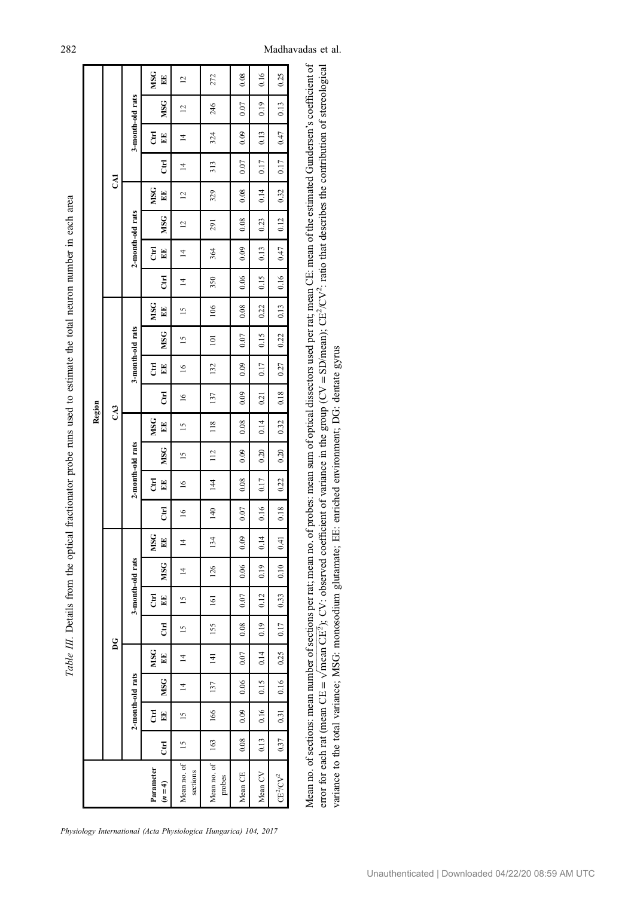Table III. Details from the optical fractionator probe runs used to estimate the total neuron number in each area Table III. Details from the optical fractionator probe runs used to estimate the total neuron number in each area

<span id="page-11-0"></span>

|                                                   |                |               |                  |                |               |                  |                |                |        |                  |               | Region        |           |                  |                |               |                |                  |                |                |                |                  |                |                     |
|---------------------------------------------------|----------------|---------------|------------------|----------------|---------------|------------------|----------------|----------------|--------|------------------|---------------|---------------|-----------|------------------|----------------|---------------|----------------|------------------|----------------|----------------|----------------|------------------|----------------|---------------------|
|                                                   |                |               |                  | ដ              |               |                  |                |                |        |                  |               | CA3           |           |                  |                |               |                |                  |                | <b>GAI</b>     |                |                  |                |                     |
|                                                   |                |               | 2-month-old rats |                |               | 3-month-old rats |                |                |        | 2-month-old rats |               |               |           | 3-month-old rats |                |               |                | 2-month-old rats |                |                |                | 3-month-old rats |                |                     |
| Parameter<br>$(n = 4)$                            | E              | E<br>E        | MSG              | MSG<br>E       | E             | E<br>E           | MSG            | MSG<br>E       | E      | E<br>E           | <b>MSG</b>    | MSG<br>E      | E         | E<br>E           | <b>MSG</b>     | MSG<br>EE     | E              | E<br>E           | <b>MSG</b>     | MSG<br>E       | E              | E<br>E           | <b>MSG</b>     | MSG<br>$\mathbb{E}$ |
| Mean no. of<br>sections                           | $\frac{15}{2}$ | $\frac{5}{2}$ | $\overline{4}$   | $\overline{z}$ | $\frac{5}{2}$ | $\tilde{5}$      | $\overline{4}$ | $\overline{4}$ | $\leq$ | $\approx$        | $\frac{5}{2}$ | $\frac{5}{2}$ | $\approx$ | $\leq$           | $\frac{5}{2}$  | $\frac{5}{2}$ | $\overline{4}$ | $\overline{4}$   | $\overline{a}$ | $\overline{c}$ | $\overline{4}$ | $\overline{4}$   | $\overline{c}$ | $\overline{c}$      |
| Mean no. of<br>probes                             | 163            | 166           | 137              | $\frac{14}{1}$ | 155           | 161              | 126            | 134            | 140    | 144              | 112           | 118           | 137       | 132              | $\overline{a}$ | 106           | 350            | 364              | 291            | 329            | 313            | 324              | 246            | 272                 |
| Mean CE                                           | 0.08           | 0.09          | 0.06             | 0.07           | 0.08          | 0.07             | 0.06           | 0.09           | 0.07   | 0.08             | 0.09          | 0.08          | 0.09      | 0.09             | 0.07           | 0.08          | 0.06           | 0.09             | 0.08           | 0.08           | 0.07           | 0.09             | 0.07           | 0.08                |
| Mean CV                                           | 0.13           | 0.16          | 0.15             | 0.14           | 0.19          | 0.12             | 0.19           | 0.14           | 0.16   | 0.17             | 0.20          | 0.14          | 0.21      | 0.17             | 0.15           | 0.22          | 0.15           | 0.13             | 0.23           | 0.14           | 0.17           | 0.13             | 0.19           | 0.16                |
| $\mathbb{C}\mathbb{E}^2\!/\mathbb{C}\mathbb{V}^2$ | 0.37           | 0.31          | 0.16             | 0.25           | 0.17          | 0.33             | 0.10           | 0.41           | 0.18   | 0.22             | 0.20          | 0.32          | 0.18      | 0.27             | 0.22           | 0.13          | 0.16           | 0.47             | 0.12           | 0.32           | 0.17           | 0.47             | 0.13           | 0.25                |
|                                                   |                |               |                  |                |               |                  |                |                |        |                  |               |               |           |                  |                |               |                |                  |                |                |                |                  |                |                     |

Physiology International (Acta Physiologica Hungarica) 104, 2017

Mean no. of sections: mean number of sections per rat; mean no. of probes: mean sum of optical dissectors used per rat; mean CE: mean of the estimated Gundersen's coefficient of Mean no. of sections: mean number of sections per rat; mean no. of probes: mean sum of optical dissectors used per rat; mean CE: mean of the estimated Gundersen's coefficient of  $=$  SD/mean); CE<sup>2</sup>/CV<sup>2</sup>: ratio that describes the contribution of stereological variance to the total variance; MSG: monosodium glutamate; EE: emiched environment; DG: dentate gyrus variance to the total variance; MSG: monosodium glutamate; EE: enriched environment; DG: dentate gyrus = $\sqrt{m}$ can CE<sup>2</sup>); CV: observed coefficient of variance in the group (CV  $\sqrt{$ mean C $E^2$  $\mathbf{u}$ error for each rat (mean CE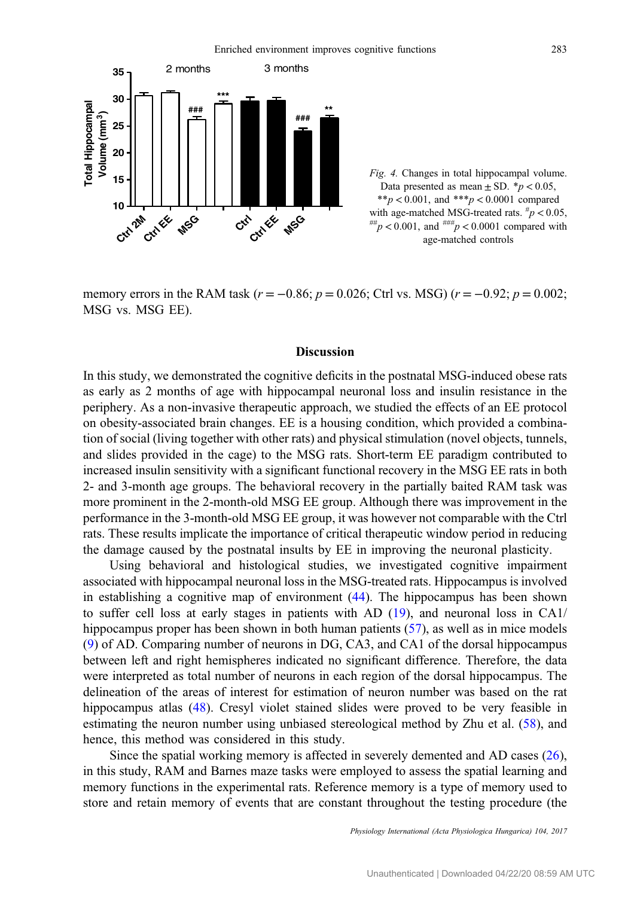<span id="page-12-0"></span>

Fig. 4. Changes in total hippocampal volume. Data presented as mean  $\pm$  SD. \*p < 0.05, \*\*p < 0.001, and \*\*\*p < 0.0001 compared with age-matched MSG-treated rats.  $\frac{h}{p} < 0.05$ ,  $f_{pp}^{***}$   $p < 0.001$ , and  $f_{p}^{#}$   $p < 0.0001$  compared with age-matched controls

memory errors in the RAM task ( $r = -0.86$ ;  $p = 0.026$ ; Ctrl vs. MSG) ( $r = -0.92$ ;  $p = 0.002$ ; MSG vs. MSG EE).

### Discussion

In this study, we demonstrated the cognitive deficits in the postnatal MSG-induced obese rats as early as 2 months of age with hippocampal neuronal loss and insulin resistance in the periphery. As a non-invasive therapeutic approach, we studied the effects of an EE protocol on obesity-associated brain changes. EE is a housing condition, which provided a combination of social (living together with other rats) and physical stimulation (novel objects, tunnels, and slides provided in the cage) to the MSG rats. Short-term EE paradigm contributed to increased insulin sensitivity with a significant functional recovery in the MSG EE rats in both 2- and 3-month age groups. The behavioral recovery in the partially baited RAM task was more prominent in the 2-month-old MSG EE group. Although there was improvement in the performance in the 3-month-old MSG EE group, it was however not comparable with the Ctrl rats. These results implicate the importance of critical therapeutic window period in reducing the damage caused by the postnatal insults by EE in improving the neuronal plasticity.

Using behavioral and histological studies, we investigated cognitive impairment associated with hippocampal neuronal loss in the MSG-treated rats. Hippocampus is involved in establishing a cognitive map of environment [\(44](#page-18-0)). The hippocampus has been shown to suffer cell loss at early stages in patients with AD ([19\)](#page-17-0), and neuronal loss in CA1/ hippocampus proper has been shown in both human patients ([57\)](#page-19-0), as well as in mice models [\(9](#page-17-0)) of AD. Comparing number of neurons in DG, CA3, and CA1 of the dorsal hippocampus between left and right hemispheres indicated no significant difference. Therefore, the data were interpreted as total number of neurons in each region of the dorsal hippocampus. The delineation of the areas of interest for estimation of neuron number was based on the rat hippocampus atlas [\(48](#page-18-0)). Cresyl violet stained slides were proved to be very feasible in estimating the neuron number using unbiased stereological method by Zhu et al. ([58\)](#page-19-0), and hence, this method was considered in this study.

Since the spatial working memory is affected in severely demented and AD cases  $(26)$  $(26)$ , in this study, RAM and Barnes maze tasks were employed to assess the spatial learning and memory functions in the experimental rats. Reference memory is a type of memory used to store and retain memory of events that are constant throughout the testing procedure (the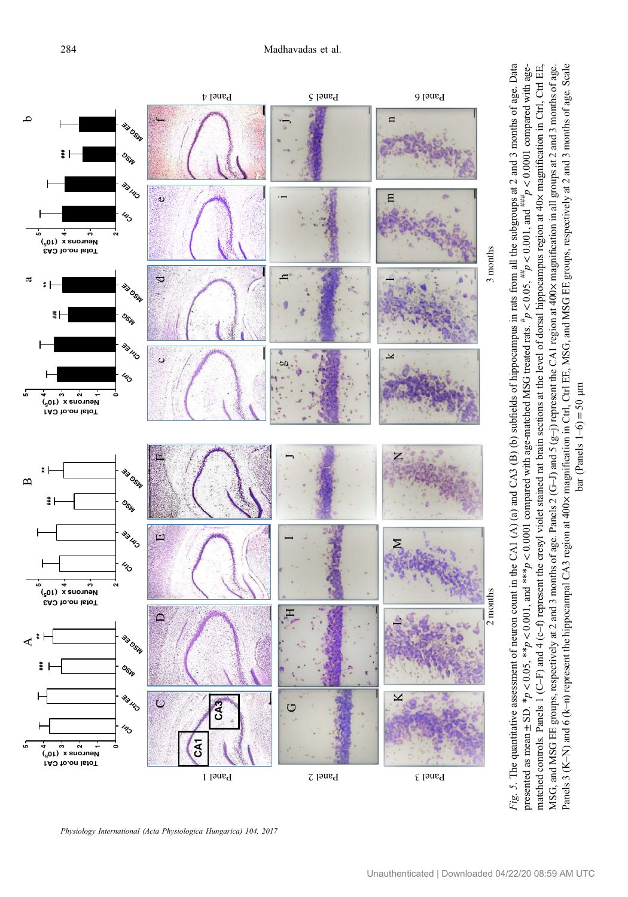<span id="page-13-0"></span>

Physiology International (Acta Physiologica Hungarica) 104, 2017

presented as mean

 $\pm$  SD.  $*_{p}$  <

 $< 0.05$ , \*\*p

v

 $< 0.001$ , and \*\*\**p* 

v

 $0.0001$  compared with age-matched MSG treated rats.  $*$ 

matched controls. Panels 1 (C–F) and 4 (c–f) represent the cresyl violet stained rat brain sections at the level of dorsal hippocampus region at 40× magnification in Ctrl, Ctrl EE, MSG, and MSG EE groups, respectively at 2 and 3 months of age. Panels 2 (G–J) and 5 (g–j) represent the CA1 region at 400× magnification in all groups at 2 and 3 months of age. Panels 3 (K–N) and 6 (k–n) represent the hippocampal CA3 region at 400× magnification in Ctrl, Ctrl EE, MSG, and MSG EE groups, respectively at 2 and 3 months of age. Scale bar (Panels 1–6)

 $= 50 \text{ }\mu\text{m}$ 

anels 3 (K-N) and 6 (k-n) represent the hippocampal CA3 region at 400x magnification in Ctrl, Ctrl EE, MSG, and MSG EE groups, respectively at 2 and 3 months of age. Scale MSG, and MSG EE groups, respectively at 2 and 3 months of age. Panels 2 (G-i) and 5 (g-j) represent the CA1 region at 400x magnification in all groups at 2 and 3 months of age.

 $p < 0.05,$   $\#_p$ 

 $< 0.001$ , and  $^{***}_{p}$ 

v

 $0.0001$  compared with age-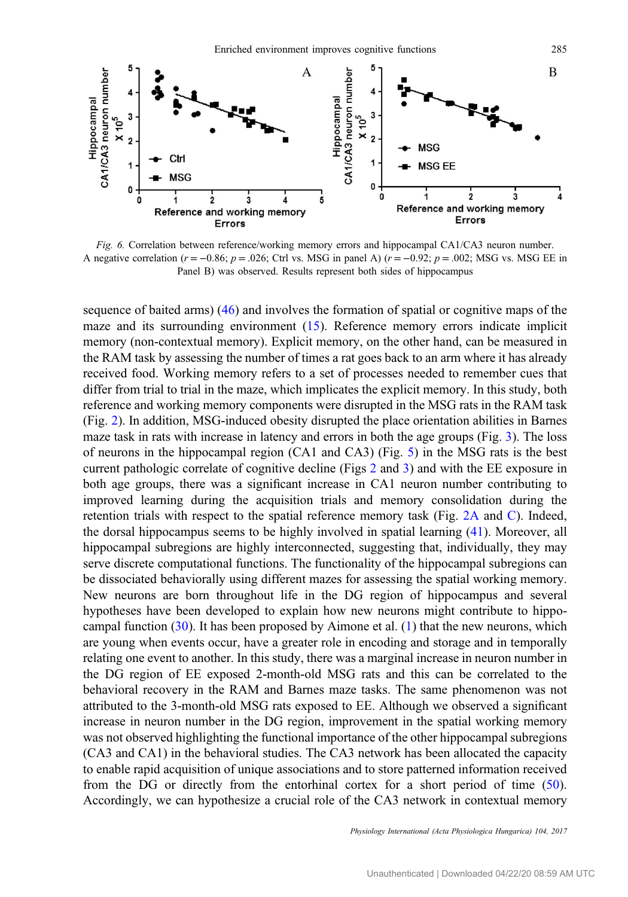<span id="page-14-0"></span>

Fig. 6. Correlation between reference/working memory errors and hippocampal CA1/CA3 neuron number. A negative correlation ( $r = -0.86$ ;  $p = .026$ ; Ctrl vs. MSG in panel A) ( $r = -0.92$ ;  $p = .002$ ; MSG vs. MSG EE in Panel B) was observed. Results represent both sides of hippocampus

sequence of baited arms) [\(46](#page-18-0)) and involves the formation of spatial or cognitive maps of the maze and its surrounding environment ([15\)](#page-17-0). Reference memory errors indicate implicit memory (non-contextual memory). Explicit memory, on the other hand, can be measured in the RAM task by assessing the number of times a rat goes back to an arm where it has already received food. Working memory refers to a set of processes needed to remember cues that differ from trial to trial in the maze, which implicates the explicit memory. In this study, both reference and working memory components were disrupted in the MSG rats in the RAM task (Fig. [2](#page-8-0)). In addition, MSG-induced obesity disrupted the place orientation abilities in Barnes maze task in rats with increase in latency and errors in both the age groups (Fig. [3](#page-9-0)). The loss of neurons in the hippocampal region (CA1 and CA3) (Fig. [5](#page-13-0)) in the MSG rats is the best current pathologic correlate of cognitive decline (Figs [2](#page-8-0) and [3](#page-9-0)) and with the EE exposure in both age groups, there was a significant increase in CA1 neuron number contributing to improved learning during the acquisition trials and memory consolidation during the retention trials with respect to the spatial reference memory task (Fig. [2A](#page-8-0) and [C](#page-8-0)). Indeed, the dorsal hippocampus seems to be highly involved in spatial learning ([41\)](#page-18-0). Moreover, all hippocampal subregions are highly interconnected, suggesting that, individually, they may serve discrete computational functions. The functionality of the hippocampal subregions can be dissociated behaviorally using different mazes for assessing the spatial working memory. New neurons are born throughout life in the DG region of hippocampus and several hypotheses have been developed to explain how new neurons might contribute to hippocampal function  $(30)$  $(30)$ . It has been proposed by Aimone et al.  $(1)$  $(1)$  $(1)$  that the new neurons, which are young when events occur, have a greater role in encoding and storage and in temporally relating one event to another. In this study, there was a marginal increase in neuron number in the DG region of EE exposed 2-month-old MSG rats and this can be correlated to the behavioral recovery in the RAM and Barnes maze tasks. The same phenomenon was not attributed to the 3-month-old MSG rats exposed to EE. Although we observed a significant increase in neuron number in the DG region, improvement in the spatial working memory was not observed highlighting the functional importance of the other hippocampal subregions (CA3 and CA1) in the behavioral studies. The CA3 network has been allocated the capacity to enable rapid acquisition of unique associations and to store patterned information received from the DG or directly from the entorhinal cortex for a short period of time [\(50](#page-18-0)). Accordingly, we can hypothesize a crucial role of the CA3 network in contextual memory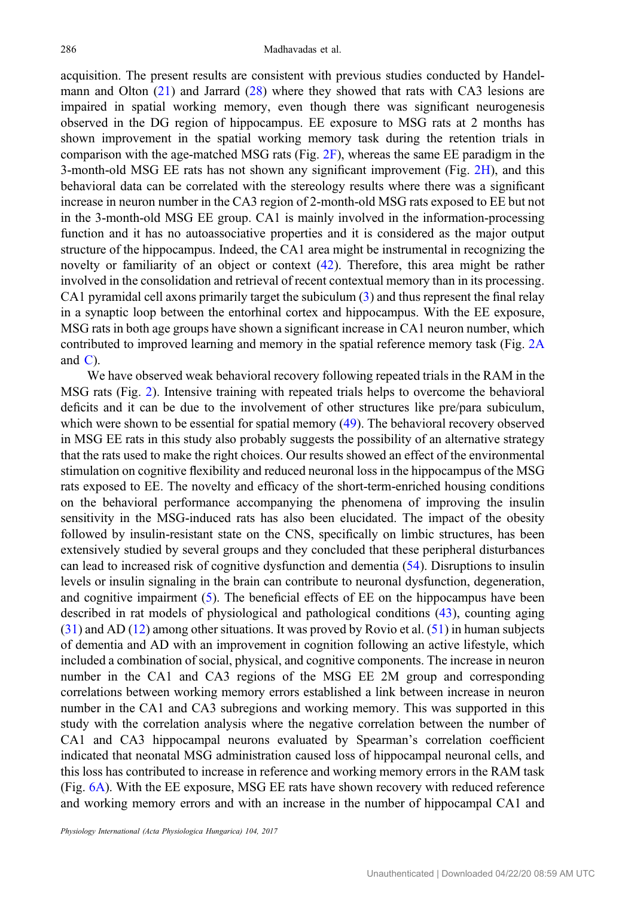acquisition. The present results are consistent with previous studies conducted by Handelmann and Olton ([21\)](#page-17-0) and Jarrard [\(28](#page-18-0)) where they showed that rats with CA3 lesions are impaired in spatial working memory, even though there was significant neurogenesis observed in the DG region of hippocampus. EE exposure to MSG rats at 2 months has shown improvement in the spatial working memory task during the retention trials in comparison with the age-matched MSG rats (Fig. [2F](#page-8-0)), whereas the same EE paradigm in the 3-month-old MSG EE rats has not shown any significant improvement (Fig. [2H\)](#page-8-0), and this behavioral data can be correlated with the stereology results where there was a significant increase in neuron number in the CA3 region of 2-month-old MSG rats exposed to EE but not in the 3-month-old MSG EE group. CA1 is mainly involved in the information-processing function and it has no autoassociative properties and it is considered as the major output structure of the hippocampus. Indeed, the CA1 area might be instrumental in recognizing the novelty or familiarity of an object or context [\(42](#page-18-0)). Therefore, this area might be rather involved in the consolidation and retrieval of recent contextual memory than in its processing. CA1 pyramidal cell axons primarily target the subiculum [\(3](#page-17-0)) and thus represent the final relay in a synaptic loop between the entorhinal cortex and hippocampus. With the EE exposure, MSG rats in both age groups have shown a significant increase in CA1 neuron number, which contributed to improved learning and memory in the spatial reference memory task (Fig. [2A](#page-8-0) and  $C$ ).

We have observed weak behavioral recovery following repeated trials in the RAM in the MSG rats (Fig. [2](#page-8-0)). Intensive training with repeated trials helps to overcome the behavioral deficits and it can be due to the involvement of other structures like pre/para subiculum, which were shown to be essential for spatial memory ([49](#page-18-0)). The behavioral recovery observed in MSG EE rats in this study also probably suggests the possibility of an alternative strategy that the rats used to make the right choices. Our results showed an effect of the environmental stimulation on cognitive flexibility and reduced neuronal loss in the hippocampus of the MSG rats exposed to EE. The novelty and efficacy of the short-term-enriched housing conditions on the behavioral performance accompanying the phenomena of improving the insulin sensitivity in the MSG-induced rats has also been elucidated. The impact of the obesity followed by insulin-resistant state on the CNS, specifically on limbic structures, has been extensively studied by several groups and they concluded that these peripheral disturbances can lead to increased risk of cognitive dysfunction and dementia [\(54](#page-19-0)). Disruptions to insulin levels or insulin signaling in the brain can contribute to neuronal dysfunction, degeneration, and cognitive impairment [\(5](#page-17-0)). The beneficial effects of EE on the hippocampus have been described in rat models of physiological and pathological conditions [\(43](#page-18-0)), counting aging [\(31](#page-18-0)) and AD ([12](#page-17-0)) among other situations. It was proved by Rovio et al. [\(51](#page-18-0)) in human subjects of dementia and AD with an improvement in cognition following an active lifestyle, which included a combination of social, physical, and cognitive components. The increase in neuron number in the CA1 and CA3 regions of the MSG EE 2M group and corresponding correlations between working memory errors established a link between increase in neuron number in the CA1 and CA3 subregions and working memory. This was supported in this study with the correlation analysis where the negative correlation between the number of CA1 and CA3 hippocampal neurons evaluated by Spearman's correlation coefficient indicated that neonatal MSG administration caused loss of hippocampal neuronal cells, and this loss has contributed to increase in reference and working memory errors in the RAM task (Fig. [6A\)](#page-14-0). With the EE exposure, MSG EE rats have shown recovery with reduced reference and working memory errors and with an increase in the number of hippocampal CA1 and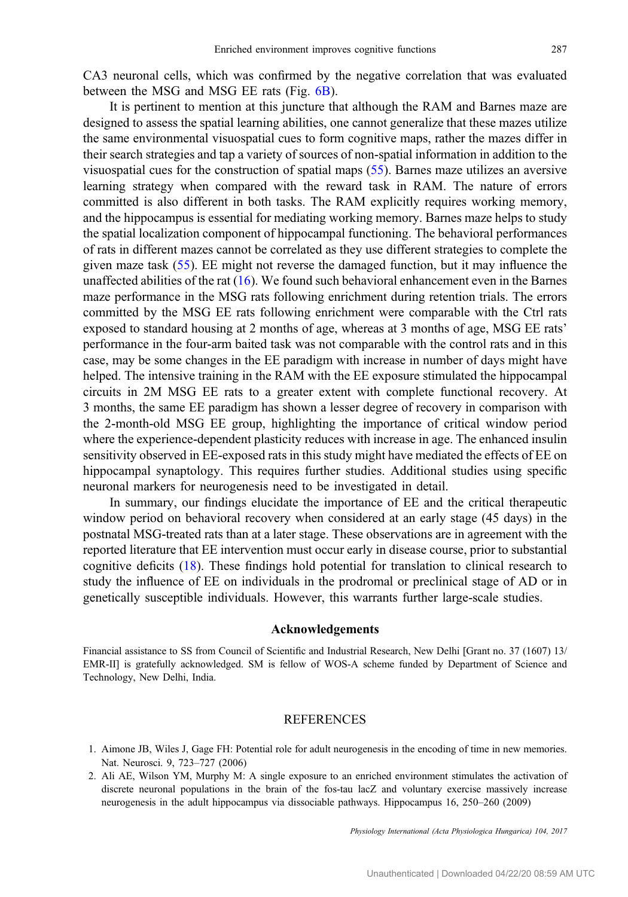<span id="page-16-0"></span>CA3 neuronal cells, which was confirmed by the negative correlation that was evaluated between the MSG and MSG EE rats (Fig. [6B\)](#page-14-0).

It is pertinent to mention at this juncture that although the RAM and Barnes maze are designed to assess the spatial learning abilities, one cannot generalize that these mazes utilize the same environmental visuospatial cues to form cognitive maps, rather the mazes differ in their search strategies and tap a variety of sources of non-spatial information in addition to the visuospatial cues for the construction of spatial maps [\(55](#page-19-0)). Barnes maze utilizes an aversive learning strategy when compared with the reward task in RAM. The nature of errors committed is also different in both tasks. The RAM explicitly requires working memory, and the hippocampus is essential for mediating working memory. Barnes maze helps to study the spatial localization component of hippocampal functioning. The behavioral performances of rats in different mazes cannot be correlated as they use different strategies to complete the given maze task [\(55](#page-19-0)). EE might not reverse the damaged function, but it may influence the unaffected abilities of the rat [\(16](#page-17-0)). We found such behavioral enhancement even in the Barnes maze performance in the MSG rats following enrichment during retention trials. The errors committed by the MSG EE rats following enrichment were comparable with the Ctrl rats exposed to standard housing at 2 months of age, whereas at 3 months of age, MSG EE rats' performance in the four-arm baited task was not comparable with the control rats and in this case, may be some changes in the EE paradigm with increase in number of days might have helped. The intensive training in the RAM with the EE exposure stimulated the hippocampal circuits in 2M MSG EE rats to a greater extent with complete functional recovery. At 3 months, the same EE paradigm has shown a lesser degree of recovery in comparison with the 2-month-old MSG EE group, highlighting the importance of critical window period where the experience-dependent plasticity reduces with increase in age. The enhanced insulin sensitivity observed in EE-exposed rats in this study might have mediated the effects of EE on hippocampal synaptology. This requires further studies. Additional studies using specific neuronal markers for neurogenesis need to be investigated in detail.

In summary, our findings elucidate the importance of EE and the critical therapeutic window period on behavioral recovery when considered at an early stage (45 days) in the postnatal MSG-treated rats than at a later stage. These observations are in agreement with the reported literature that EE intervention must occur early in disease course, prior to substantial cognitive deficits [\(18](#page-17-0)). These findings hold potential for translation to clinical research to study the influence of EE on individuals in the prodromal or preclinical stage of AD or in genetically susceptible individuals. However, this warrants further large-scale studies.

### Acknowledgements

Financial assistance to SS from Council of Scientific and Industrial Research, New Delhi [Grant no. 37 (1607) 13/ EMR-II] is gratefully acknowledged. SM is fellow of WOS-A scheme funded by Department of Science and Technology, New Delhi, India.

#### REFERENCES

- 1. Aimone JB, Wiles J, Gage FH: Potential role for adult neurogenesis in the encoding of time in new memories. Nat. Neurosci. 9, 723–727 (2006)
- 2. Ali AE, Wilson YM, Murphy M: A single exposure to an enriched environment stimulates the activation of discrete neuronal populations in the brain of the fos-tau lacZ and voluntary exercise massively increase neurogenesis in the adult hippocampus via dissociable pathways. Hippocampus 16, 250–260 (2009)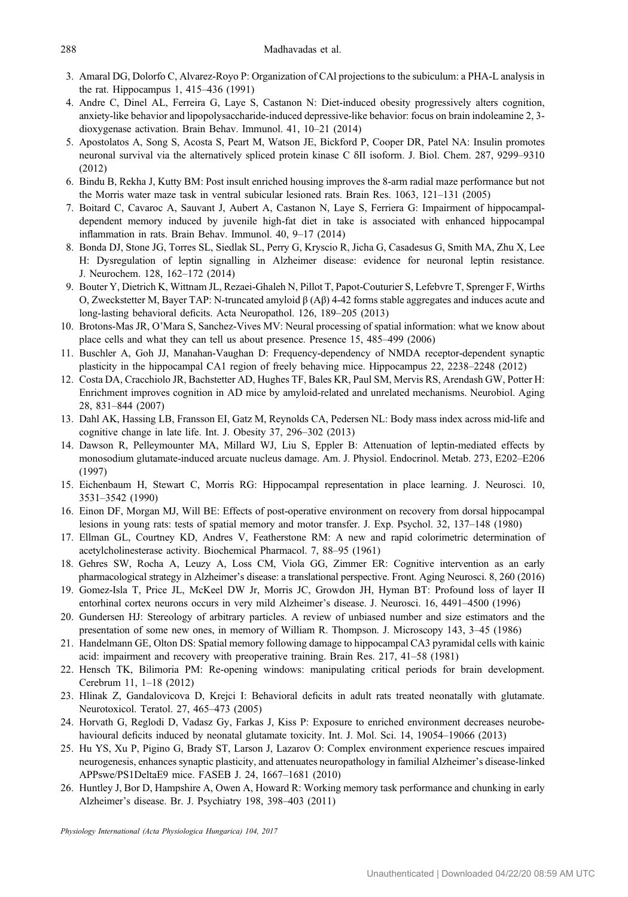- <span id="page-17-0"></span>3. Amaral DG, Dolorfo C, Alvarez-Royo P: Organization of CAl projections to the subiculum: a PHA-L analysis in the rat. Hippocampus 1, 415–436 (1991)
- 4. Andre C, Dinel AL, Ferreira G, Laye S, Castanon N: Diet-induced obesity progressively alters cognition, anxiety-like behavior and lipopolysaccharide-induced depressive-like behavior: focus on brain indoleamine 2, 3 dioxygenase activation. Brain Behav. Immunol. 41, 10–21 (2014)
- 5. Apostolatos A, Song S, Acosta S, Peart M, Watson JE, Bickford P, Cooper DR, Patel NA: Insulin promotes neuronal survival via the alternatively spliced protein kinase C δII isoform. J. Biol. Chem. 287, 9299–9310 (2012)
- 6. Bindu B, Rekha J, Kutty BM: Post insult enriched housing improves the 8-arm radial maze performance but not the Morris water maze task in ventral subicular lesioned rats. Brain Res. 1063, 121–131 (2005)
- 7. Boitard C, Cavaroc A, Sauvant J, Aubert A, Castanon N, Laye S, Ferriera G: Impairment of hippocampaldependent memory induced by juvenile high-fat diet in take is associated with enhanced hippocampal inflammation in rats. Brain Behav. Immunol. 40, 9–17 (2014)
- 8. Bonda DJ, Stone JG, Torres SL, Siedlak SL, Perry G, Kryscio R, Jicha G, Casadesus G, Smith MA, Zhu X, Lee H: Dysregulation of leptin signalling in Alzheimer disease: evidence for neuronal leptin resistance. J. Neurochem. 128, 162–172 (2014)
- 9. Bouter Y, Dietrich K, Wittnam JL, Rezaei-Ghaleh N, Pillot T, Papot-Couturier S, Lefebvre T, Sprenger F, Wirths O, Zweckstetter M, Bayer TAP: N-truncated amyloid β (Aβ) 4-42 forms stable aggregates and induces acute and long-lasting behavioral deficits. Acta Neuropathol. 126, 189–205 (2013)
- 10. Brotons-Mas JR, O'Mara S, Sanchez-Vives MV: Neural processing of spatial information: what we know about place cells and what they can tell us about presence. Presence 15, 485–499 (2006)
- 11. Buschler A, Goh JJ, Manahan-Vaughan D: Frequency-dependency of NMDA receptor-dependent synaptic plasticity in the hippocampal CA1 region of freely behaving mice. Hippocampus 22, 2238–2248 (2012)
- 12. Costa DA, Cracchiolo JR, Bachstetter AD, Hughes TF, Bales KR, Paul SM, Mervis RS, Arendash GW, Potter H: Enrichment improves cognition in AD mice by amyloid-related and unrelated mechanisms. Neurobiol. Aging 28, 831–844 (2007)
- 13. Dahl AK, Hassing LB, Fransson EI, Gatz M, Reynolds CA, Pedersen NL: Body mass index across mid-life and cognitive change in late life. Int. J. Obesity 37, 296–302 (2013)
- 14. Dawson R, Pelleymounter MA, Millard WJ, Liu S, Eppler B: Attenuation of leptin-mediated effects by monosodium glutamate-induced arcuate nucleus damage. Am. J. Physiol. Endocrinol. Metab. 273, E202–E206 (1997)
- 15. Eichenbaum H, Stewart C, Morris RG: Hippocampal representation in place learning. J. Neurosci. 10, 3531–3542 (1990)
- 16. Einon DF, Morgan MJ, Will BE: Effects of post-operative environment on recovery from dorsal hippocampal lesions in young rats: tests of spatial memory and motor transfer. J. Exp. Psychol. 32, 137–148 (1980)
- 17. Ellman GL, Courtney KD, Andres V, Featherstone RM: A new and rapid colorimetric determination of acetylcholinesterase activity. Biochemical Pharmacol. 7, 88–95 (1961)
- 18. Gehres SW, Rocha A, Leuzy A, Loss CM, Viola GG, Zimmer ER: Cognitive intervention as an early pharmacological strategy in Alzheimer's disease: a translational perspective. Front. Aging Neurosci. 8, 260 (2016)
- 19. Gomez-Isla T, Price JL, McKeel DW Jr, Morris JC, Growdon JH, Hyman BT: Profound loss of layer II entorhinal cortex neurons occurs in very mild Alzheimer's disease. J. Neurosci. 16, 4491–4500 (1996)
- 20. Gundersen HJ: Stereology of arbitrary particles. A review of unbiased number and size estimators and the presentation of some new ones, in memory of William R. Thompson. J. Microscopy 143, 3–45 (1986)
- 21. Handelmann GE, Olton DS: Spatial memory following damage to hippocampal CA3 pyramidal cells with kainic acid: impairment and recovery with preoperative training. Brain Res. 217, 41–58 (1981)
- 22. Hensch TK, Bilimoria PM: Re-opening windows: manipulating critical periods for brain development. Cerebrum 11, 1–18 (2012)
- 23. Hlinak Z, Gandalovicova D, Krejci I: Behavioral deficits in adult rats treated neonatally with glutamate. Neurotoxicol. Teratol. 27, 465–473 (2005)
- 24. Horvath G, Reglodi D, Vadasz Gy, Farkas J, Kiss P: Exposure to enriched environment decreases neurobehavioural deficits induced by neonatal glutamate toxicity. Int. J. Mol. Sci. 14, 19054–19066 (2013)
- 25. Hu YS, Xu P, Pigino G, Brady ST, Larson J, Lazarov O: Complex environment experience rescues impaired neurogenesis, enhances synaptic plasticity, and attenuates neuropathology in familial Alzheimer's disease-linked APPswe/PS1DeltaE9 mice. FASEB J. 24, 1667–1681 (2010)
- 26. Huntley J, Bor D, Hampshire A, Owen A, Howard R: Working memory task performance and chunking in early Alzheimer's disease. Br. J. Psychiatry 198, 398–403 (2011)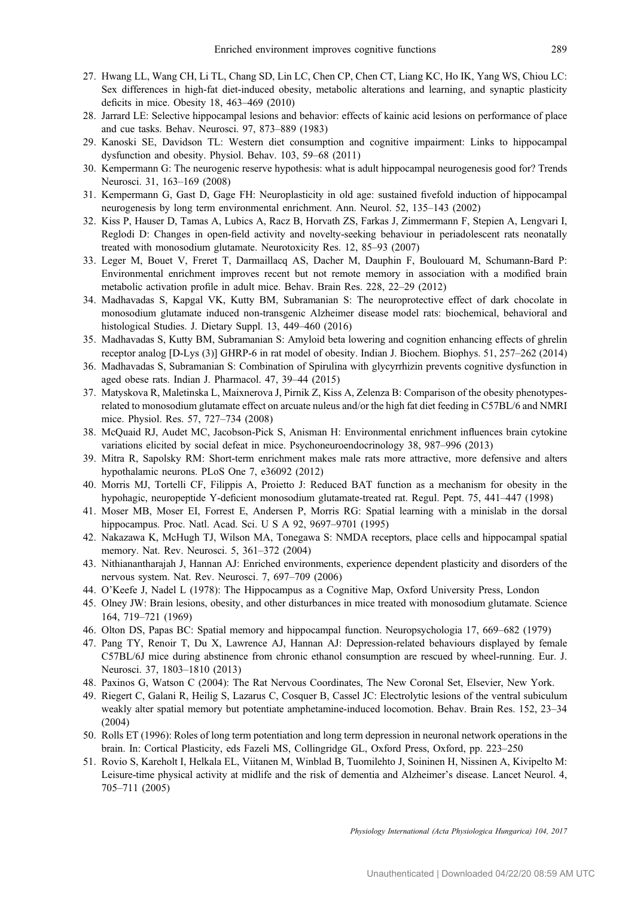- <span id="page-18-0"></span>27. Hwang LL, Wang CH, Li TL, Chang SD, Lin LC, Chen CP, Chen CT, Liang KC, Ho IK, Yang WS, Chiou LC: Sex differences in high-fat diet-induced obesity, metabolic alterations and learning, and synaptic plasticity deficits in mice. Obesity 18, 463–469 (2010)
- 28. Jarrard LE: Selective hippocampal lesions and behavior: effects of kainic acid lesions on performance of place and cue tasks. Behav. Neurosci. 97, 873–889 (1983)
- 29. Kanoski SE, Davidson TL: Western diet consumption and cognitive impairment: Links to hippocampal dysfunction and obesity. Physiol. Behav. 103, 59–68 (2011)
- 30. Kempermann G: The neurogenic reserve hypothesis: what is adult hippocampal neurogenesis good for? Trends Neurosci. 31, 163–169 (2008)
- 31. Kempermann G, Gast D, Gage FH: Neuroplasticity in old age: sustained fivefold induction of hippocampal neurogenesis by long term environmental enrichment. Ann. Neurol. 52, 135–143 (2002)
- 32. Kiss P, Hauser D, Tamas A, Lubics A, Racz B, Horvath ZS, Farkas J, Zimmermann F, Stepien A, Lengvari I, Reglodi D: Changes in open-field activity and novelty-seeking behaviour in periadolescent rats neonatally treated with monosodium glutamate. Neurotoxicity Res. 12, 85–93 (2007)
- 33. Leger M, Bouet V, Freret T, Darmaillacq AS, Dacher M, Dauphin F, Boulouard M, Schumann-Bard P: Environmental enrichment improves recent but not remote memory in association with a modified brain metabolic activation profile in adult mice. Behav. Brain Res. 228, 22–29 (2012)
- 34. Madhavadas S, Kapgal VK, Kutty BM, Subramanian S: The neuroprotective effect of dark chocolate in monosodium glutamate induced non-transgenic Alzheimer disease model rats: biochemical, behavioral and histological Studies. J. Dietary Suppl. 13, 449–460 (2016)
- 35. Madhavadas S, Kutty BM, Subramanian S: Amyloid beta lowering and cognition enhancing effects of ghrelin receptor analog [D-Lys (3)] GHRP-6 in rat model of obesity. Indian J. Biochem. Biophys. 51, 257–262 (2014)
- 36. Madhavadas S, Subramanian S: Combination of Spirulina with glycyrrhizin prevents cognitive dysfunction in aged obese rats. Indian J. Pharmacol. 47, 39–44 (2015)
- 37. Matyskova R, Maletinska L, Maixnerova J, Pirnik Z, Kiss A, Zelenza B: Comparison of the obesity phenotypesrelated to monosodium glutamate effect on arcuate nuleus and/or the high fat diet feeding in C57BL/6 and NMRI mice. Physiol. Res. 57, 727–734 (2008)
- 38. McQuaid RJ, Audet MC, Jacobson-Pick S, Anisman H: Environmental enrichment influences brain cytokine variations elicited by social defeat in mice. Psychoneuroendocrinology 38, 987–996 (2013)
- 39. Mitra R, Sapolsky RM: Short-term enrichment makes male rats more attractive, more defensive and alters hypothalamic neurons. PLoS One 7, e36092 (2012)
- 40. Morris MJ, Tortelli CF, Filippis A, Proietto J: Reduced BAT function as a mechanism for obesity in the hypohagic, neuropeptide Y-deficient monosodium glutamate-treated rat. Regul. Pept. 75, 441–447 (1998)
- 41. Moser MB, Moser EI, Forrest E, Andersen P, Morris RG: Spatial learning with a minislab in the dorsal hippocampus. Proc. Natl. Acad. Sci. U S A 92, 9697–9701 (1995)
- 42. Nakazawa K, McHugh TJ, Wilson MA, Tonegawa S: NMDA receptors, place cells and hippocampal spatial memory. Nat. Rev. Neurosci. 5, 361–372 (2004)
- 43. Nithianantharajah J, Hannan AJ: Enriched environments, experience dependent plasticity and disorders of the nervous system. Nat. Rev. Neurosci. 7, 697–709 (2006)
- 44. O'Keefe J, Nadel L (1978): The Hippocampus as a Cognitive Map, Oxford University Press, London
- 45. Olney JW: Brain lesions, obesity, and other disturbances in mice treated with monosodium glutamate. Science 164, 719–721 (1969)
- 46. Olton DS, Papas BC: Spatial memory and hippocampal function. Neuropsychologia 17, 669–682 (1979)
- 47. Pang TY, Renoir T, Du X, Lawrence AJ, Hannan AJ: Depression-related behaviours displayed by female C57BL/6J mice during abstinence from chronic ethanol consumption are rescued by wheel-running. Eur. J. Neurosci. 37, 1803–1810 (2013)
- 48. Paxinos G, Watson C (2004): The Rat Nervous Coordinates, The New Coronal Set, Elsevier, New York.
- 49. Riegert C, Galani R, Heilig S, Lazarus C, Cosquer B, Cassel JC: Electrolytic lesions of the ventral subiculum weakly alter spatial memory but potentiate amphetamine-induced locomotion. Behav. Brain Res. 152, 23–34 (2004)
- 50. Rolls ET (1996): Roles of long term potentiation and long term depression in neuronal network operations in the brain. In: Cortical Plasticity, eds Fazeli MS, Collingridge GL, Oxford Press, Oxford, pp. 223–250
- 51. Rovio S, Kareholt I, Helkala EL, Viitanen M, Winblad B, Tuomilehto J, Soininen H, Nissinen A, Kivipelto M: Leisure-time physical activity at midlife and the risk of dementia and Alzheimer's disease. Lancet Neurol. 4, 705–711 (2005)